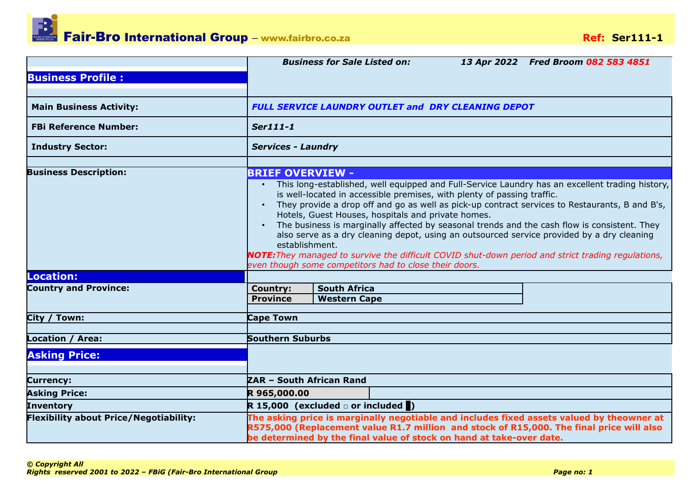|                                               | <b>Business for Sale Listed on:</b><br>13 Apr 2022 Fred Broom 082 583 4851                                                                                                                                                                                                                                                                                                                                                                                                                                                                                                                                                                                                                 |  |  |  |  |  |
|-----------------------------------------------|--------------------------------------------------------------------------------------------------------------------------------------------------------------------------------------------------------------------------------------------------------------------------------------------------------------------------------------------------------------------------------------------------------------------------------------------------------------------------------------------------------------------------------------------------------------------------------------------------------------------------------------------------------------------------------------------|--|--|--|--|--|
| <b>Business Profile:</b>                      |                                                                                                                                                                                                                                                                                                                                                                                                                                                                                                                                                                                                                                                                                            |  |  |  |  |  |
|                                               |                                                                                                                                                                                                                                                                                                                                                                                                                                                                                                                                                                                                                                                                                            |  |  |  |  |  |
| <b>Main Business Activity:</b>                | FULL SERVICE LAUNDRY OUTLET and DRY CLEANING DEPOT                                                                                                                                                                                                                                                                                                                                                                                                                                                                                                                                                                                                                                         |  |  |  |  |  |
| <b>FBi Reference Number:</b>                  | Ser111-1                                                                                                                                                                                                                                                                                                                                                                                                                                                                                                                                                                                                                                                                                   |  |  |  |  |  |
| <b>Industry Sector:</b>                       | <b>Services - Laundry</b>                                                                                                                                                                                                                                                                                                                                                                                                                                                                                                                                                                                                                                                                  |  |  |  |  |  |
| <b>Business Description:</b>                  | <b>BRIEF OVERVIEW -</b><br>This long-established, well equipped and Full-Service Laundry has an excellent trading history,<br>is well-located in accessible premises, with plenty of passing traffic.<br>They provide a drop off and go as well as pick-up contract services to Restaurants, B and B's,<br>Hotels, Guest Houses, hospitals and private homes.<br>The business is marginally affected by seasonal trends and the cash flow is consistent. They<br>also serve as a dry cleaning depot, using an outsourced service provided by a dry cleaning<br>establishment.<br><b>NOTE:</b> They managed to survive the difficult COVID shut-down period and strict trading regulations, |  |  |  |  |  |
|                                               | even though some competitors had to close their doors.                                                                                                                                                                                                                                                                                                                                                                                                                                                                                                                                                                                                                                     |  |  |  |  |  |
| Location:                                     |                                                                                                                                                                                                                                                                                                                                                                                                                                                                                                                                                                                                                                                                                            |  |  |  |  |  |
| <b>Country and Province:</b>                  | <b>South Africa</b><br><b>Country:</b><br><b>Province</b><br><b>Western Cape</b>                                                                                                                                                                                                                                                                                                                                                                                                                                                                                                                                                                                                           |  |  |  |  |  |
| City / Town:                                  | <b>Cape Town</b>                                                                                                                                                                                                                                                                                                                                                                                                                                                                                                                                                                                                                                                                           |  |  |  |  |  |
| Location / Area:                              | <b>Southern Suburbs</b>                                                                                                                                                                                                                                                                                                                                                                                                                                                                                                                                                                                                                                                                    |  |  |  |  |  |
| <b>Asking Price:</b>                          |                                                                                                                                                                                                                                                                                                                                                                                                                                                                                                                                                                                                                                                                                            |  |  |  |  |  |
| <b>Currency:</b>                              | ZAR - South African Rand                                                                                                                                                                                                                                                                                                                                                                                                                                                                                                                                                                                                                                                                   |  |  |  |  |  |
| <b>Asking Price:</b>                          | R 965,000.00                                                                                                                                                                                                                                                                                                                                                                                                                                                                                                                                                                                                                                                                               |  |  |  |  |  |
| Inventory                                     | R 15,000 (excluded $\Box$ or included $\Box$ )                                                                                                                                                                                                                                                                                                                                                                                                                                                                                                                                                                                                                                             |  |  |  |  |  |
| <b>Flexibility about Price/Negotiability:</b> | The asking price is marginally negotiable and includes fixed assets valued by theowner at<br>R575,000 (Replacement value R1.7 million and stock of R15,000. The final price will also<br>be determined by the final value of stock on hand at take-over date.                                                                                                                                                                                                                                                                                                                                                                                                                              |  |  |  |  |  |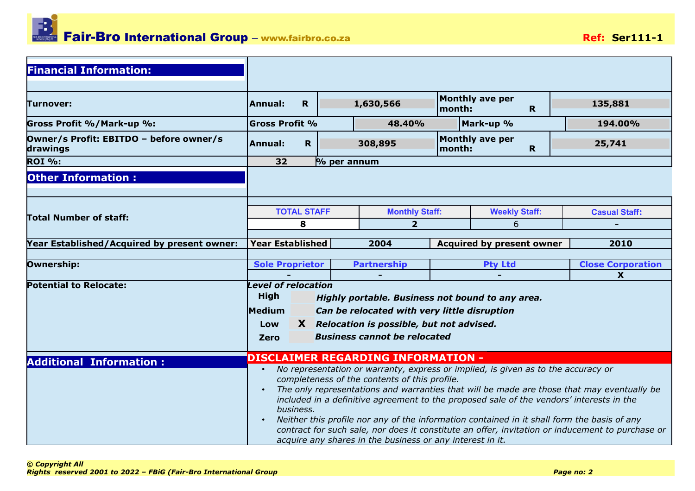

| <b>Financial Information:</b>                       |                                                                                                                                                                                                                                                                           |                |                                                                                                                                                                                                                                                                                                                                                                                            |                                  |                        |             |                                                                                                                                                                                                |
|-----------------------------------------------------|---------------------------------------------------------------------------------------------------------------------------------------------------------------------------------------------------------------------------------------------------------------------------|----------------|--------------------------------------------------------------------------------------------------------------------------------------------------------------------------------------------------------------------------------------------------------------------------------------------------------------------------------------------------------------------------------------------|----------------------------------|------------------------|-------------|------------------------------------------------------------------------------------------------------------------------------------------------------------------------------------------------|
| Turnover:                                           | $\mathbf R$<br>Annual:                                                                                                                                                                                                                                                    |                | 1,630,566                                                                                                                                                                                                                                                                                                                                                                                  | month:                           | <b>Monthly ave per</b> | R.          | 135,881                                                                                                                                                                                        |
| Gross Profit %/Mark-up %:                           | <b>Gross Profit %</b>                                                                                                                                                                                                                                                     |                | 48.40%                                                                                                                                                                                                                                                                                                                                                                                     | Mark-up %                        |                        |             | 194.00%                                                                                                                                                                                        |
| Owner/s Profit: EBITDO - before owner/s<br>drawings | $\mathbf R$<br><b>Annual:</b>                                                                                                                                                                                                                                             |                | 308,895                                                                                                                                                                                                                                                                                                                                                                                    | month:                           | <b>Monthly ave per</b> | $\mathbf R$ | 25,741                                                                                                                                                                                         |
| <b>ROI %:</b>                                       | 32                                                                                                                                                                                                                                                                        | $\%$ per annum |                                                                                                                                                                                                                                                                                                                                                                                            |                                  |                        |             |                                                                                                                                                                                                |
| <b>Other Information:</b>                           |                                                                                                                                                                                                                                                                           |                |                                                                                                                                                                                                                                                                                                                                                                                            |                                  |                        |             |                                                                                                                                                                                                |
| Total Number of staff:                              | <b>TOTAL STAFF</b>                                                                                                                                                                                                                                                        |                | <b>Monthly Staff:</b>                                                                                                                                                                                                                                                                                                                                                                      |                                  | <b>Weekly Staff:</b>   |             | <b>Casual Staff:</b>                                                                                                                                                                           |
|                                                     | 8                                                                                                                                                                                                                                                                         |                | $\overline{2}$                                                                                                                                                                                                                                                                                                                                                                             |                                  |                        |             |                                                                                                                                                                                                |
| Year Established/Acquired by present owner:         | <b>Year Established</b>                                                                                                                                                                                                                                                   |                | 2004                                                                                                                                                                                                                                                                                                                                                                                       | <b>Acquired by present owner</b> |                        |             | 2010                                                                                                                                                                                           |
| Ownership:                                          | <b>Sole Proprietor</b>                                                                                                                                                                                                                                                    |                | <b>Partnership</b>                                                                                                                                                                                                                                                                                                                                                                         |                                  |                        |             | <b>Close Corporation</b><br>$\boldsymbol{\mathsf{X}}$                                                                                                                                          |
| <b>Potential to Relocate:</b>                       | <b>Level of relocation</b><br><b>High</b><br>Highly portable. Business not bound to any area.<br><b>Medium</b><br>Can be relocated with very little disruption<br>X Relocation is possible, but not advised.<br>Low<br><b>Business cannot be relocated</b><br><b>Zero</b> |                |                                                                                                                                                                                                                                                                                                                                                                                            |                                  |                        |             |                                                                                                                                                                                                |
| <b>Additional Information:</b>                      |                                                                                                                                                                                                                                                                           |                | <b>DISCLAIMER REGARDING INFORMATION -</b>                                                                                                                                                                                                                                                                                                                                                  |                                  |                        |             |                                                                                                                                                                                                |
|                                                     | $\bullet$<br>$\bullet$<br>business.<br>$\bullet$                                                                                                                                                                                                                          |                | No representation or warranty, express or implied, is given as to the accuracy or<br>completeness of the contents of this profile.<br>included in a definitive agreement to the proposed sale of the vendors' interests in the<br>Neither this profile nor any of the information contained in it shall form the basis of any<br>acquire any shares in the business or any interest in it. |                                  |                        |             | The only representations and warranties that will be made are those that may eventually be<br>contract for such sale, nor does it constitute an offer, invitation or inducement to purchase or |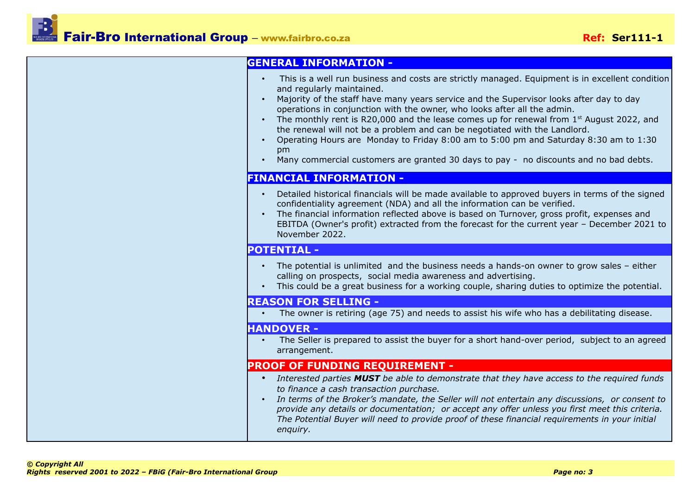| <b>GENERAL INFORMATION -</b>                                                                                                                                                                                                                                                                                                                                                                                                                                                                                                                                                                                                                                           |
|------------------------------------------------------------------------------------------------------------------------------------------------------------------------------------------------------------------------------------------------------------------------------------------------------------------------------------------------------------------------------------------------------------------------------------------------------------------------------------------------------------------------------------------------------------------------------------------------------------------------------------------------------------------------|
| This is a well run business and costs are strictly managed. Equipment is in excellent condition<br>and regularly maintained.<br>Majority of the staff have many years service and the Supervisor looks after day to day<br>operations in conjunction with the owner, who looks after all the admin.<br>The monthly rent is R20,000 and the lease comes up for renewal from $1st$ August 2022, and<br>the renewal will not be a problem and can be negotiated with the Landlord.<br>Operating Hours are Monday to Friday 8:00 am to 5:00 pm and Saturday 8:30 am to 1:30<br>pm<br>Many commercial customers are granted 30 days to pay - no discounts and no bad debts. |
| <b>FINANCIAL INFORMATION -</b>                                                                                                                                                                                                                                                                                                                                                                                                                                                                                                                                                                                                                                         |
| Detailed historical financials will be made available to approved buyers in terms of the signed<br>confidentiality agreement (NDA) and all the information can be verified.<br>The financial information reflected above is based on Turnover, gross profit, expenses and<br>$\bullet$<br>EBITDA (Owner's profit) extracted from the forecast for the current year - December 2021 to<br>November 2022.                                                                                                                                                                                                                                                                |
| <b>POTENTIAL -</b>                                                                                                                                                                                                                                                                                                                                                                                                                                                                                                                                                                                                                                                     |
| The potential is unlimited and the business needs a hands-on owner to grow sales - either<br>$\bullet$<br>calling on prospects, social media awareness and advertising.<br>This could be a great business for a working couple, sharing duties to optimize the potential.                                                                                                                                                                                                                                                                                                                                                                                              |
| <b>REASON FOR SELLING -</b>                                                                                                                                                                                                                                                                                                                                                                                                                                                                                                                                                                                                                                            |
| The owner is retiring (age 75) and needs to assist his wife who has a debilitating disease.                                                                                                                                                                                                                                                                                                                                                                                                                                                                                                                                                                            |
| <b>HANDOVER -</b>                                                                                                                                                                                                                                                                                                                                                                                                                                                                                                                                                                                                                                                      |
| The Seller is prepared to assist the buyer for a short hand-over period, subject to an agreed<br>arrangement.                                                                                                                                                                                                                                                                                                                                                                                                                                                                                                                                                          |
| <b>PROOF OF FUNDING REQUIREMENT -</b>                                                                                                                                                                                                                                                                                                                                                                                                                                                                                                                                                                                                                                  |
| Interested parties MUST be able to demonstrate that they have access to the required funds<br>$\bullet$<br>to finance a cash transaction purchase.<br>In terms of the Broker's mandate, the Seller will not entertain any discussions, or consent to<br>$\bullet$<br>provide any details or documentation; or accept any offer unless you first meet this criteria.<br>The Potential Buyer will need to provide proof of these financial requirements in your initial<br>enquiry.                                                                                                                                                                                      |